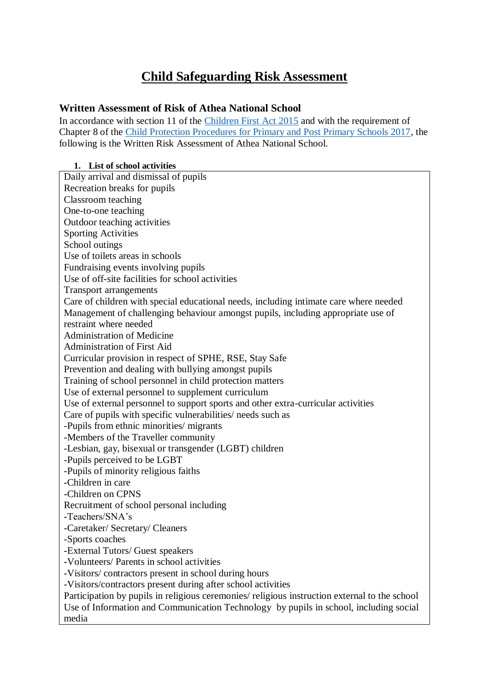# **Child Safeguarding Risk Assessment**

### **Written Assessment of Risk of Athea National School**

In accordance with section 11 of the [Children First Act 2015](http://www.irishstatutebook.ie/eli/2015/act/36/enacted/en/pdf) and with the requirement of Chapter 8 of the [Child Protection Procedures for Primary and Post Primary Schools 2017,](https://www.gov.ie/pdf/?file=https://assets.gov.ie/45063/2d4b5b3d781e4ec1ab4f3e5d198717d9.pdf#page=1) the following is the Written Risk Assessment of Athea National School.

#### **1. List of school activities**

Daily arrival and dismissal of pupils Recreation breaks for pupils Classroom teaching One-to-one teaching Outdoor teaching activities Sporting Activities School outings Use of toilets areas in schools Fundraising events involving pupils Use of off-site facilities for school activities Transport arrangements Care of children with special educational needs, including intimate care where needed Management of challenging behaviour amongst pupils, including appropriate use of restraint where needed Administration of Medicine Administration of First Aid Curricular provision in respect of SPHE, RSE, Stay Safe Prevention and dealing with bullying amongst pupils Training of school personnel in child protection matters Use of external personnel to supplement curriculum Use of external personnel to support sports and other extra-curricular activities Care of pupils with specific vulnerabilities/ needs such as -Pupils from ethnic minorities/ migrants -Members of the Traveller community -Lesbian, gay, bisexual or transgender (LGBT) children -Pupils perceived to be LGBT -Pupils of minority religious faiths -Children in care -Children on CPNS Recruitment of school personal including -Teachers/SNA's -Caretaker/ Secretary/ Cleaners -Sports coaches -External Tutors/ Guest speakers -Volunteers/ Parents in school activities -Visitors/ contractors present in school during hours -Visitors/contractors present during after school activities Participation by pupils in religious ceremonies/ religious instruction external to the school Use of Information and Communication Technology by pupils in school, including social media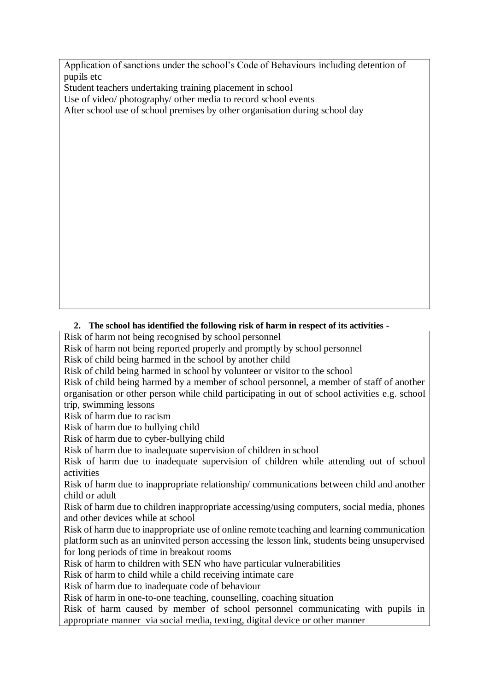Application of sanctions under the school's Code of Behaviours including detention of pupils etc

Student teachers undertaking training placement in school

Use of video/ photography/ other media to record school events

After school use of school premises by other organisation during school day

### **2. The school has identified the following risk of harm in respect of its activities -**

Risk of harm not being recognised by school personnel

Risk of harm not being reported properly and promptly by school personnel

Risk of child being harmed in the school by another child

Risk of child being harmed in school by volunteer or visitor to the school

Risk of child being harmed by a member of school personnel, a member of staff of another organisation or other person while child participating in out of school activities e.g. school trip, swimming lessons

Risk of harm due to racism

Risk of harm due to bullying child

Risk of harm due to cyber-bullying child

Risk of harm due to inadequate supervision of children in school

Risk of harm due to inadequate supervision of children while attending out of school activities

Risk of harm due to inappropriate relationship/ communications between child and another child or adult

Risk of harm due to children inappropriate accessing/using computers, social media, phones and other devices while at school

Risk of harm due to inappropriate use of online remote teaching and learning communication platform such as an uninvited person accessing the lesson link, students being unsupervised for long periods of time in breakout rooms

Risk of harm to children with SEN who have particular vulnerabilities

Risk of harm to child while a child receiving intimate care

Risk of harm due to inadequate code of behaviour

Risk of harm in one-to-one teaching, counselling, coaching situation

Risk of harm caused by member of school personnel communicating with pupils in appropriate manner via social media, texting, digital device or other manner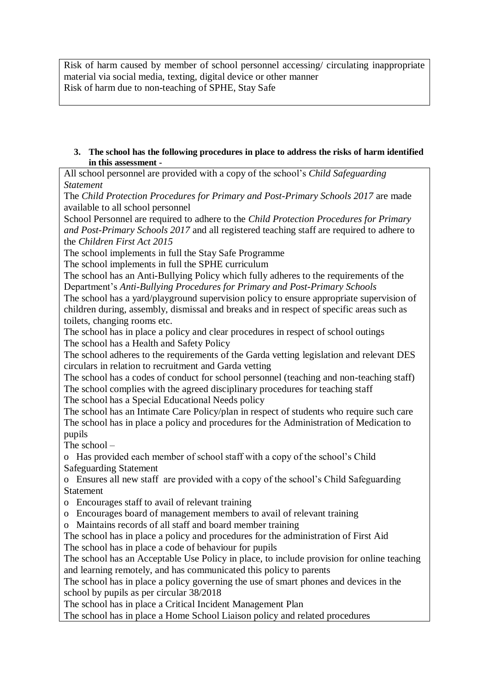Risk of harm caused by member of school personnel accessing/ circulating inappropriate material via social media, texting, digital device or other manner Risk of harm due to non-teaching of SPHE, Stay Safe

**3. The school has the following procedures in place to address the risks of harm identified in this assessment -**

All school personnel are provided with a copy of the school's *Child Safeguarding Statement*

The *Child Protection Procedures for Primary and Post-Primary Schools 2017* are made available to all school personnel

School Personnel are required to adhere to the *Child Protection Procedures for Primary and Post-Primary Schools 2017* and all registered teaching staff are required to adhere to the *Children First Act 2015*

The school implements in full the Stay Safe Programme

The school implements in full the SPHE curriculum

The school has an Anti-Bullying Policy which fully adheres to the requirements of the Department's *Anti-Bullying Procedures for Primary and Post-Primary Schools*

The school has a yard/playground supervision policy to ensure appropriate supervision of children during, assembly, dismissal and breaks and in respect of specific areas such as toilets, changing rooms etc.

The school has in place a policy and clear procedures in respect of school outings The school has a Health and Safety Policy

The school adheres to the requirements of the Garda vetting legislation and relevant DES circulars in relation to recruitment and Garda vetting

The school has a codes of conduct for school personnel (teaching and non-teaching staff) The school complies with the agreed disciplinary procedures for teaching staff The school has a Special Educational Needs policy

The school has an Intimate Care Policy/plan in respect of students who require such care The school has in place a policy and procedures for the Administration of Medication to pupils

The school –

o Has provided each member of school staff with a copy of the school's Child Safeguarding Statement

o Ensures all new staff are provided with a copy of the school's Child Safeguarding Statement

o Encourages staff to avail of relevant training

o Encourages board of management members to avail of relevant training

o Maintains records of all staff and board member training

The school has in place a policy and procedures for the administration of First Aid The school has in place a code of behaviour for pupils

The school has an Acceptable Use Policy in place, to include provision for online teaching and learning remotely, and has communicated this policy to parents

The school has in place a policy governing the use of smart phones and devices in the school by pupils as per circular 38/2018

The school has in place a Critical Incident Management Plan

The school has in place a Home School Liaison policy and related procedures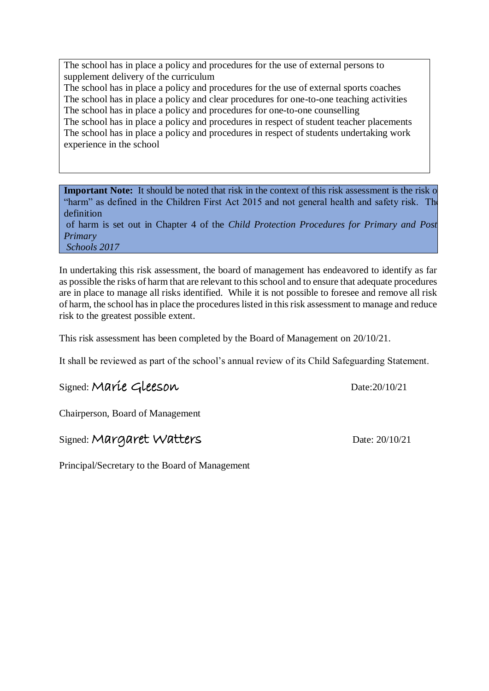The school has in place a policy and procedures for the use of external persons to supplement delivery of the curriculum

The school has in place a policy and procedures for the use of external sports coaches The school has in place a policy and clear procedures for one-to-one teaching activities The school has in place a policy and procedures for one-to-one counselling

The school has in place a policy and procedures in respect of student teacher placements The school has in place a policy and procedures in respect of students undertaking work experience in the school

**Important Note:** It should be noted that risk in the context of this risk assessment is the risk of "harm" as defined in the Children First Act 2015 and not general health and safety risk. The definition

of harm is set out in Chapter 4 of the *Child Protection Procedures for Primary and Post-Primary Schools 2017*

In undertaking this risk assessment, the board of management has endeavored to identify as far as possible the risks of harm that are relevant to this school and to ensure that adequate procedures are in place to manage all risks identified. While it is not possible to foresee and remove all risk of harm, the school has in place the procedures listed in this risk assessment to manage and reduce risk to the greatest possible extent.

This risk assessment has been completed by the Board of Management on 20/10/21.

It shall be reviewed as part of the school's annual review of its Child Safeguarding Statement.

# Signed: Marie Gleeson Date:20/10/21

Chairperson, Board of Management

## Signed: Margaret Watters Date: 20/10/21

Principal/Secretary to the Board of Management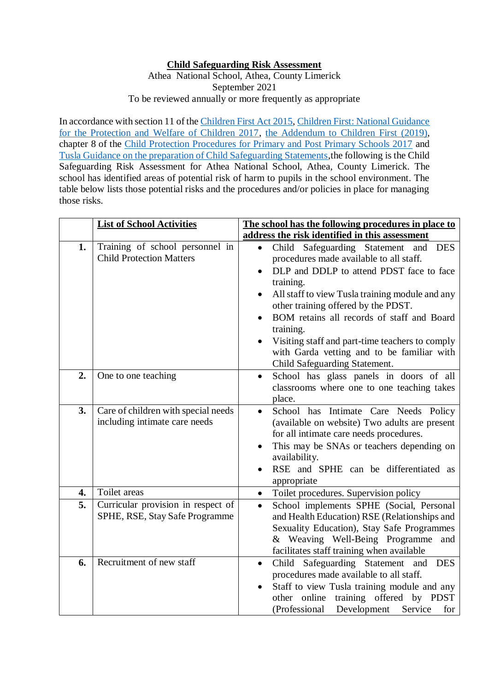### **Child Safeguarding Risk Assessment**

Athea National School, Athea, County Limerick September 2021 To be reviewed annually or more frequently as appropriate

In accordance with section 11 of the [Children First Act 2015,](http://www.irishstatutebook.ie/eli/2015/act/36/enacted/en/pdf) [Children First: National Guidance](https://assets.gov.ie/25844/b90aafa55804462f84d05f87f0ca2bf6.pdf)  [for the Protection and Welfare of Children 2017,](https://assets.gov.ie/25844/b90aafa55804462f84d05f87f0ca2bf6.pdf) [the Addendum to Children First \(2019\),](https://assets.gov.ie/25819/c9744b64dfd6447985eeffa5c0d71bbb.pdf) chapter 8 of the [Child Protection Procedures for Primary and Post Primary Schools 2017](https://www.gov.ie/pdf/?file=https://assets.gov.ie/45063/2d4b5b3d781e4ec1ab4f3e5d198717d9.pdf#page=1) and [Tusla Guidance on the preparation of Child Safeguarding Statements,](https://www.tusla.ie/uploads/content/4214-TUSLA_Guidance_on_Developing_a_CSS_LR.PDF)the following is the Child Safeguarding Risk Assessment for Athea National School, Athea, County Limerick. The school has identified areas of potential risk of harm to pupils in the school environment. The table below lists those potential risks and the procedures and/or policies in place for managing those risks.

|    | <b>List of School Activities</b>                                     | The school has the following procedures in place to                                                                                                                                                                                                                                                                                                                                                                                                                              |
|----|----------------------------------------------------------------------|----------------------------------------------------------------------------------------------------------------------------------------------------------------------------------------------------------------------------------------------------------------------------------------------------------------------------------------------------------------------------------------------------------------------------------------------------------------------------------|
|    |                                                                      | address the risk identified in this assessment                                                                                                                                                                                                                                                                                                                                                                                                                                   |
| 1. | Training of school personnel in<br><b>Child Protection Matters</b>   | Child Safeguarding Statement and<br><b>DES</b><br>$\bullet$<br>procedures made available to all staff.<br>DLP and DDLP to attend PDST face to face<br>training.<br>All staff to view Tusla training module and any<br>$\bullet$<br>other training offered by the PDST.<br>BOM retains all records of staff and Board<br>$\bullet$<br>training.<br>Visiting staff and part-time teachers to comply<br>with Garda vetting and to be familiar with<br>Child Safeguarding Statement. |
| 2. | One to one teaching                                                  | School has glass panels in doors of all<br>$\bullet$<br>classrooms where one to one teaching takes<br>place.                                                                                                                                                                                                                                                                                                                                                                     |
| 3. | Care of children with special needs<br>including intimate care needs | School has Intimate Care Needs Policy<br>$\bullet$<br>(available on website) Two adults are present<br>for all intimate care needs procedures.<br>This may be SNAs or teachers depending on<br>availability.<br>RSE and SPHE can be differentiated as<br>appropriate                                                                                                                                                                                                             |
| 4. | Toilet areas                                                         | Toilet procedures. Supervision policy<br>$\bullet$                                                                                                                                                                                                                                                                                                                                                                                                                               |
| 5. | Curricular provision in respect of<br>SPHE, RSE, Stay Safe Programme | School implements SPHE (Social, Personal<br>$\bullet$<br>and Health Education) RSE (Relationships and<br>Sexuality Education), Stay Safe Programmes<br>& Weaving Well-Being Programme<br>and<br>facilitates staff training when available                                                                                                                                                                                                                                        |
| 6. | Recruitment of new staff                                             | Child Safeguarding Statement<br><b>DES</b><br>and<br>$\bullet$<br>procedures made available to all staff.<br>Staff to view Tusla training module and any<br>other online training offered by PDST<br>(Professional<br>Development<br>Service<br>for                                                                                                                                                                                                                              |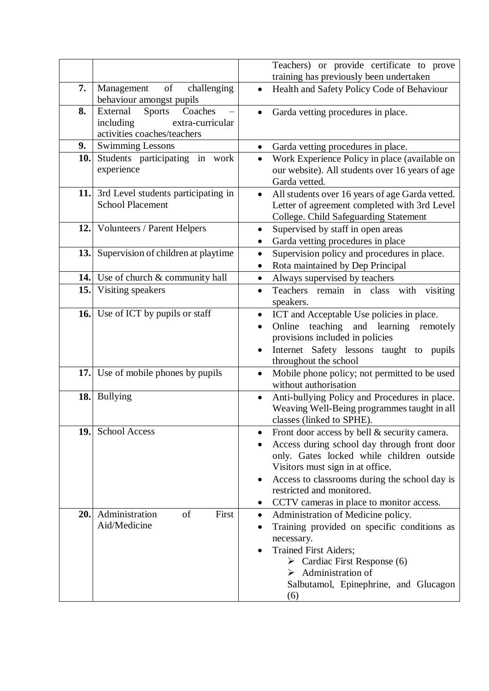|     |                                                                                                      |                                             | Teachers) or provide certificate to prove                                                                                                                                                                                                                                                              |
|-----|------------------------------------------------------------------------------------------------------|---------------------------------------------|--------------------------------------------------------------------------------------------------------------------------------------------------------------------------------------------------------------------------------------------------------------------------------------------------------|
|     |                                                                                                      |                                             | training has previously been undertaken                                                                                                                                                                                                                                                                |
| 7.  | of<br>Management<br>challenging<br>behaviour amongst pupils                                          | $\bullet$                                   | Health and Safety Policy Code of Behaviour                                                                                                                                                                                                                                                             |
| 8.  | Coaches<br>External<br><b>Sports</b><br>including<br>extra-curricular<br>activities coaches/teachers |                                             | Garda vetting procedures in place.                                                                                                                                                                                                                                                                     |
| 9.  | <b>Swimming Lessons</b>                                                                              | ٠                                           | Garda vetting procedures in place.                                                                                                                                                                                                                                                                     |
| 10. | Students participating in work<br>experience                                                         | $\bullet$<br>Garda vetted.                  | Work Experience Policy in place (available on<br>our website). All students over 16 years of age                                                                                                                                                                                                       |
| 11. | 3rd Level students participating in<br><b>School Placement</b>                                       | $\bullet$                                   | All students over 16 years of age Garda vetted.<br>Letter of agreement completed with 3rd Level<br>College. Child Safeguarding Statement                                                                                                                                                               |
| 12. | <b>Volunteers / Parent Helpers</b>                                                                   | $\bullet$                                   | Supervised by staff in open areas<br>Garda vetting procedures in place                                                                                                                                                                                                                                 |
| 13. | Supervision of children at playtime                                                                  | $\bullet$                                   | Supervision policy and procedures in place.<br>Rota maintained by Dep Principal                                                                                                                                                                                                                        |
|     | <b>14.</b> Use of church & community hall                                                            | $\bullet$                                   | Always supervised by teachers                                                                                                                                                                                                                                                                          |
| 15. | Visiting speakers                                                                                    | $\bullet$<br>speakers.                      | Teachers remain in class<br>visiting<br>with                                                                                                                                                                                                                                                           |
|     | <b>16.</b> Use of ICT by pupils or staff                                                             | ٠<br>Online<br>$\bullet$<br>$\bullet$       | ICT and Acceptable Use policies in place.<br>teaching and learning remotely<br>provisions included in policies<br>Internet Safety lessons taught to pupils<br>throughout the school                                                                                                                    |
|     | 17. Use of mobile phones by pupils                                                                   | $\bullet$                                   | Mobile phone policy; not permitted to be used<br>without authorisation                                                                                                                                                                                                                                 |
| 18. | <b>Bullying</b>                                                                                      |                                             | Anti-bullying Policy and Procedures in place.<br>Weaving Well-Being programmes taught in all<br>classes (linked to SPHE).                                                                                                                                                                              |
| 19. | <b>School Access</b>                                                                                 | ٠<br>$\bullet$                              | Front door access by bell & security camera.<br>Access during school day through front door<br>only. Gates locked while children outside<br>Visitors must sign in at office.<br>Access to classrooms during the school day is<br>restricted and monitored.<br>CCTV cameras in place to monitor access. |
| 20. | Administration<br>of<br>First<br>Aid/Medicine                                                        | $\bullet$<br>$\bullet$<br>necessary.<br>(6) | Administration of Medicine policy.<br>Training provided on specific conditions as<br><b>Trained First Aiders;</b><br>$\triangleright$ Cardiac First Response (6)<br>$\triangleright$ Administration of<br>Salbutamol, Epinephrine, and Glucagon                                                        |